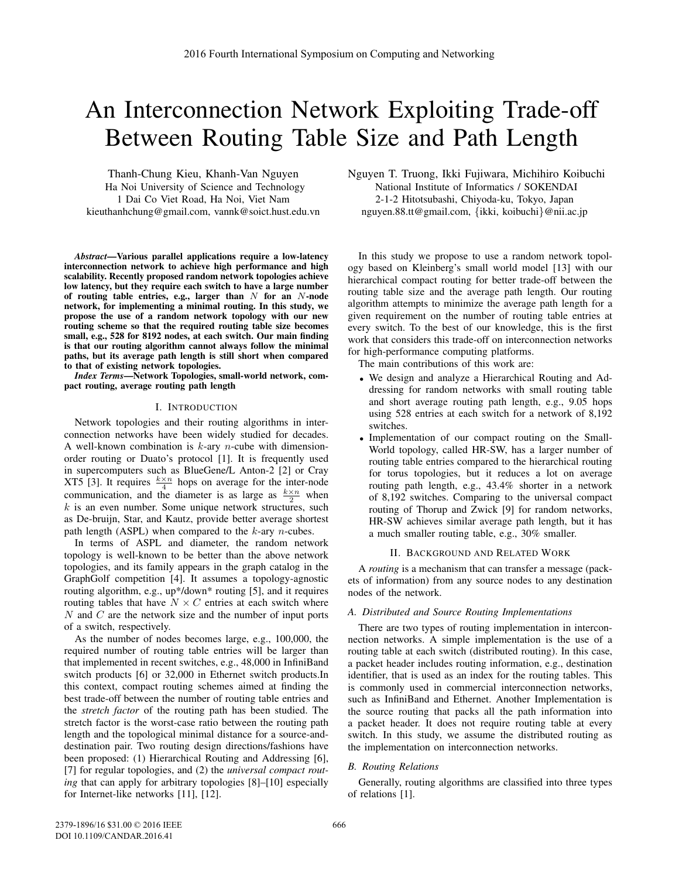# An Interconnection Network Exploiting Trade-off Between Routing Table Size and Path Length

Thanh-Chung Kieu, Khanh-Van Nguyen Ha Noi University of Science and Technology 1 Dai Co Viet Road, Ha Noi, Viet Nam kieuthanhchung@gmail.com, vannk@soict.hust.edu.vn

*Abstract*—Various parallel applications require a low-latency interconnection network to achieve high performance and high scalability. Recently proposed random network topologies achieve low latency, but they require each switch to have a large number of routing table entries, e.g., larger than  $N$  for an  $N$ -node network, for implementing a minimal routing. In this study, we propose the use of a random network topology with our new routing scheme so that the required routing table size becomes small, e.g., 528 for 8192 nodes, at each switch. Our main finding is that our routing algorithm cannot always follow the minimal paths, but its average path length is still short when compared to that of existing network topologies.

*Index Terms*—Network Topologies, small-world network, compact routing, average routing path length

# I. INTRODUCTION

Network topologies and their routing algorithms in interconnection networks have been widely studied for decades. A well-known combination is  $k$ -ary *n*-cube with dimensionorder routing or Duato's protocol [1]. It is frequently used in supercomputers such as BlueGene/L Anton-2 [2] or Cray XT5 [3]. It requires  $\frac{k \times n}{4}$  hops on average for the inter-node communication, and the diameter is as large as  $\frac{k \times n}{2}$  when  $k$  is an even number. Some unique network structures, such as De-bruijn, Star, and Kautz, provide better average shortest path length (ASPL) when compared to the  $k$ -ary *n*-cubes.

In terms of ASPL and diameter, the random network topology is well-known to be better than the above network topologies, and its family appears in the graph catalog in the GraphGolf competition [4]. It assumes a topology-agnostic routing algorithm, e.g., up\*/down\* routing [5], and it requires routing tables that have  $N \times C$  entries at each switch where  $N$  and  $C$  are the network size and the number of input ports of a switch, respectively.

As the number of nodes becomes large, e.g., 100,000, the required number of routing table entries will be larger than that implemented in recent switches, e.g., 48,000 in InfiniBand switch products [6] or 32,000 in Ethernet switch products.In this context, compact routing schemes aimed at finding the best trade-off between the number of routing table entries and the *stretch factor* of the routing path has been studied. The stretch factor is the worst-case ratio between the routing path length and the topological minimal distance for a source-anddestination pair. Two routing design directions/fashions have been proposed: (1) Hierarchical Routing and Addressing [6], [7] for regular topologies, and (2) the *universal compact routing* that can apply for arbitrary topologies [8]–[10] especially for Internet-like networks [11], [12].

Nguyen T. Truong, Ikki Fujiwara, Michihiro Koibuchi National Institute of Informatics / SOKENDAI 2-1-2 Hitotsubashi, Chiyoda-ku, Tokyo, Japan nguyen.88.tt@gmail.com, {ikki, koibuchi}@nii.ac.jp

In this study we propose to use a random network topology based on Kleinberg's small world model [13] with our hierarchical compact routing for better trade-off between the routing table size and the average path length. Our routing algorithm attempts to minimize the average path length for a given requirement on the number of routing table entries at every switch. To the best of our knowledge, this is the first work that considers this trade-off on interconnection networks for high-performance computing platforms.

The main contributions of this work are:

- We design and analyze a Hierarchical Routing and Addressing for random networks with small routing table and short average routing path length, e.g., 9.05 hops using 528 entries at each switch for a network of 8,192 switches.
- Implementation of our compact routing on the Small-World topology, called HR-SW, has a larger number of routing table entries compared to the hierarchical routing for torus topologies, but it reduces a lot on average routing path length, e.g., 43.4% shorter in a network of 8,192 switches. Comparing to the universal compact routing of Thorup and Zwick [9] for random networks, HR-SW achieves similar average path length, but it has a much smaller routing table, e.g., 30% smaller.

#### II. BACKGROUND AND RELATED WORK

A *routing* is a mechanism that can transfer a message (packets of information) from any source nodes to any destination nodes of the network.

## *A. Distributed and Source Routing Implementations*

There are two types of routing implementation in interconnection networks. A simple implementation is the use of a routing table at each switch (distributed routing). In this case, a packet header includes routing information, e.g., destination identifier, that is used as an index for the routing tables. This is commonly used in commercial interconnection networks, such as InfiniBand and Ethernet. Another Implementation is the source routing that packs all the path information into a packet header. It does not require routing table at every switch. In this study, we assume the distributed routing as the implementation on interconnection networks.

# *B. Routing Relations*

Generally, routing algorithms are classified into three types of relations [1].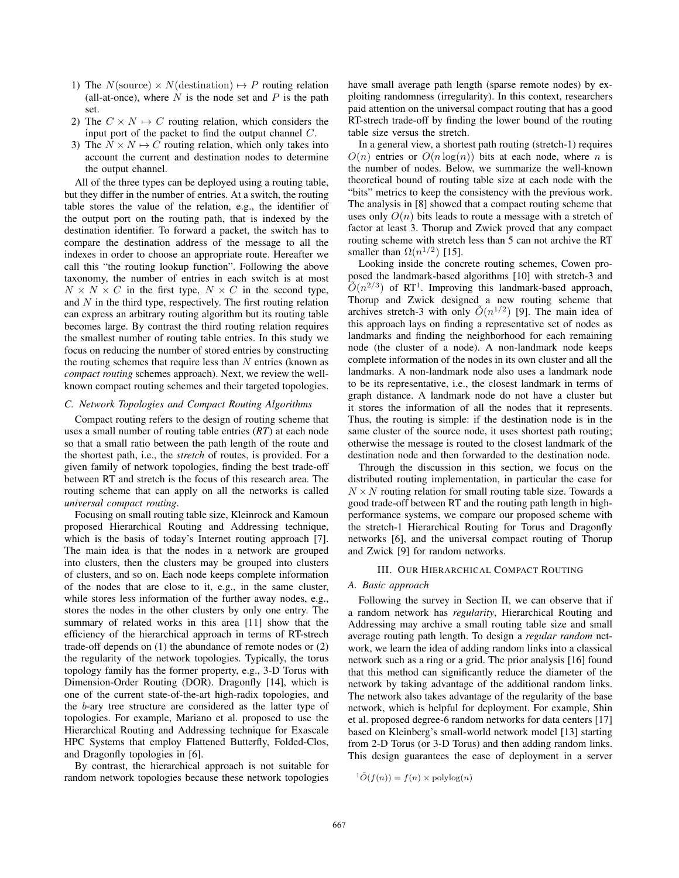- 1) The  $N(\text{source}) \times N(\text{destination}) \rightarrow P$  routing relation (all-at-once), where  $N$  is the node set and  $P$  is the path set.
- 2) The  $C \times N \mapsto C$  routing relation, which considers the input port of the packet to find the output channel C.
- 3) The  $\hat{N} \times N \mapsto \hat{C}$  routing relation, which only takes into account the current and destination nodes to determine the output channel.

All of the three types can be deployed using a routing table, but they differ in the number of entries. At a switch, the routing table stores the value of the relation, e.g., the identifier of the output port on the routing path, that is indexed by the destination identifier. To forward a packet, the switch has to compare the destination address of the message to all the indexes in order to choose an appropriate route. Hereafter we call this "the routing lookup function". Following the above taxonomy, the number of entries in each switch is at most  $N \times N \times C$  in the first type,  $N \times C$  in the second type, and  $N$  in the third type, respectively. The first routing relation can express an arbitrary routing algorithm but its routing table becomes large. By contrast the third routing relation requires the smallest number of routing table entries. In this study we focus on reducing the number of stored entries by constructing the routing schemes that require less than  $N$  entries (known as *compact routing* schemes approach). Next, we review the wellknown compact routing schemes and their targeted topologies.

# *C. Network Topologies and Compact Routing Algorithms*

Compact routing refers to the design of routing scheme that uses a small number of routing table entries (*RT*) at each node so that a small ratio between the path length of the route and the shortest path, i.e., the *stretch* of routes, is provided. For a given family of network topologies, finding the best trade-off between RT and stretch is the focus of this research area. The routing scheme that can apply on all the networks is called *universal compact routing*.

Focusing on small routing table size, Kleinrock and Kamoun proposed Hierarchical Routing and Addressing technique, which is the basis of today's Internet routing approach [7]. The main idea is that the nodes in a network are grouped into clusters, then the clusters may be grouped into clusters of clusters, and so on. Each node keeps complete information of the nodes that are close to it, e.g., in the same cluster, while stores less information of the further away nodes, e.g., stores the nodes in the other clusters by only one entry. The summary of related works in this area [11] show that the efficiency of the hierarchical approach in terms of RT-strech trade-off depends on (1) the abundance of remote nodes or (2) the regularity of the network topologies. Typically, the torus topology family has the former property, e.g., 3-D Torus with Dimension-Order Routing (DOR). Dragonfly [14], which is one of the current state-of-the-art high-radix topologies, and the b-ary tree structure are considered as the latter type of topologies. For example, Mariano et al. proposed to use the Hierarchical Routing and Addressing technique for Exascale HPC Systems that employ Flattened Butterfly, Folded-Clos, and Dragonfly topologies in [6].

By contrast, the hierarchical approach is not suitable for random network topologies because these network topologies

have small average path length (sparse remote nodes) by exploiting randomness (irregularity). In this context, researchers paid attention on the universal compact routing that has a good RT-strech trade-off by finding the lower bound of the routing table size versus the stretch.

In a general view, a shortest path routing (stretch-1) requires  $O(n)$  entries or  $O(n \log(n))$  bits at each node, where n is the number of nodes. Below, we summarize the well-known theoretical bound of routing table size at each node with the "bits" metrics to keep the consistency with the previous work. The analysis in [8] showed that a compact routing scheme that uses only  $O(n)$  bits leads to route a message with a stretch of factor at least 3. Thorup and Zwick proved that any compact routing scheme with stretch less than 5 can not archive the RT smaller than  $\Omega(n^{1/2})$  [15].

Looking inside the concrete routing schemes, Cowen proposed the landmark-based algorithms [10] with stretch-3 and  $\tilde{O}(n^{2/3})$  of RT<sup>1</sup>. Improving this landmark-based approach, Thorup and Zwick designed a new routing scheme that archives stretch-3 with only  $\tilde{O}(n^{1/2})$  [9]. The main idea of this approach lays on finding a representative set of nodes as landmarks and finding the neighborhood for each remaining node (the cluster of a node). A non-landmark node keeps complete information of the nodes in its own cluster and all the landmarks. A non-landmark node also uses a landmark node to be its representative, i.e., the closest landmark in terms of graph distance. A landmark node do not have a cluster but it stores the information of all the nodes that it represents. Thus, the routing is simple: if the destination node is in the same cluster of the source node, it uses shortest path routing; otherwise the message is routed to the closest landmark of the destination node and then forwarded to the destination node.

Through the discussion in this section, we focus on the distributed routing implementation, in particular the case for  $N \times N$  routing relation for small routing table size. Towards a good trade-off between RT and the routing path length in highperformance systems, we compare our proposed scheme with the stretch-1 Hierarchical Routing for Torus and Dragonfly networks [6], and the universal compact routing of Thorup and Zwick [9] for random networks.

#### III. OUR HIERARCHICAL COMPACT ROUTING

#### *A. Basic approach*

Following the survey in Section II, we can observe that if a random network has *regularity*, Hierarchical Routing and Addressing may archive a small routing table size and small average routing path length. To design a *regular random* network, we learn the idea of adding random links into a classical network such as a ring or a grid. The prior analysis [16] found that this method can significantly reduce the diameter of the network by taking advantage of the additional random links. The network also takes advantage of the regularity of the base network, which is helpful for deployment. For example, Shin et al. proposed degree-6 random networks for data centers [17] based on Kleinberg's small-world network model [13] starting from 2-D Torus (or 3-D Torus) and then adding random links. This design guarantees the ease of deployment in a server

 ${}^{1}\tilde{O}(f(n)) = f(n) \times \text{polylog}(n)$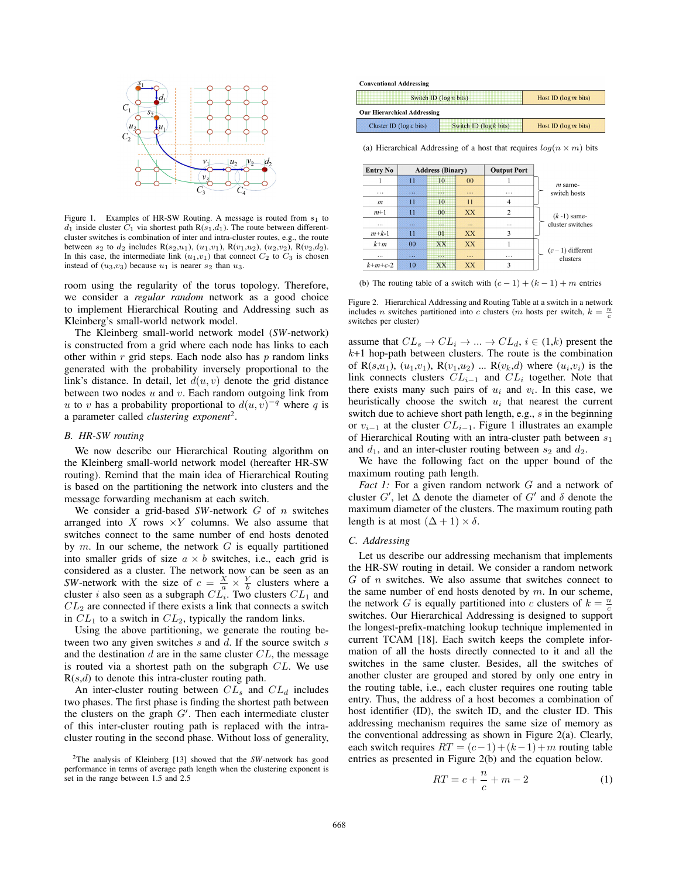

Figure 1. Examples of HR-SW Routing. A message is routed from  $s_1$  to  $d_1$  inside cluster  $C_1$  via shortest path  $R(s_1,d_1)$ . The route between differentcluster switches is combination of inter and intra-cluster routes, e.g., the route between  $s_2$  to  $d_2$  includes  $R(s_2, u_1), (u_1, v_1), R(v_1, u_2), (u_2, v_2), R(v_2, d_2).$ In this case, the intermediate link  $(u_1,v_1)$  that connect  $C_2$  to  $C_3$  is chosen instead of  $(u_3, v_3)$  because  $u_1$  is nearer  $s_2$  than  $u_3$ .

room using the regularity of the torus topology. Therefore, we consider a *regular random* network as a good choice to implement Hierarchical Routing and Addressing such as Kleinberg's small-world network model.

The Kleinberg small-world network model (*SW*-network) is constructed from a grid where each node has links to each other within  $r$  grid steps. Each node also has  $p$  random links generated with the probability inversely proportional to the link's distance. In detail, let  $d(u, v)$  denote the grid distance between two nodes  $u$  and  $v$ . Each random outgoing link from u to v has a probability proportional to  $d(u, v)^{-q}$  where q is a parameter called *clustering exponent*2.

## *B. HR-SW routing*

We now describe our Hierarchical Routing algorithm on the Kleinberg small-world network model (hereafter HR-SW routing). Remind that the main idea of Hierarchical Routing is based on the partitioning the network into clusters and the message forwarding mechanism at each switch.

We consider a grid-based  $SW$ -network  $G$  of  $n$  switches arranged into  $X$  rows  $\times Y$  columns. We also assume that switches connect to the same number of end hosts denoted by  $m$ . In our scheme, the network  $G$  is equally partitioned into smaller grids of size  $a \times b$  switches, i.e., each grid is considered as a cluster. The network now can be seen as an *SW*-network with the size of  $c = \frac{X}{a} \times \frac{Y}{b}$  clusters where a cluster *i* also seen as a subgraph  $CL_i^u$ . Two clusters  $CL_1$  and  $CL<sub>2</sub>$  are connected if there exists a link that connects a switch in  $CL_1$  to a switch in  $CL_2$ , typically the random links.

Using the above partitioning, we generate the routing between two any given switches  $s$  and  $d$ . If the source switch  $s$ and the destination  $d$  are in the same cluster  $CL$ , the message is routed via a shortest path on the subgraph CL. We use  $R(s,d)$  to denote this intra-cluster routing path.

An inter-cluster routing between  $CL<sub>s</sub>$  and  $CL<sub>d</sub>$  includes two phases. The first phase is finding the shortest path between the clusters on the graph  $G'$ . Then each intermediate cluster of this inter-cluster routing path is replaced with the intracluster routing in the second phase. Without loss of generality, **Conventional Addressing** 

| Switch ID $(\log n)$ bits)         | Host ID ( $log m$ bits)           |                         |  |  |  |  |  |
|------------------------------------|-----------------------------------|-------------------------|--|--|--|--|--|
| <b>Our Hierarchical Addressing</b> |                                   |                         |  |  |  |  |  |
| Cluster ID ( $log c$ bits)         | Switch ID $(\log k \text{ bits})$ | Host ID ( $log m$ bits) |  |  |  |  |  |

(a) Hierarchical Addressing of a host that requires  $log(n \times m)$  bits

| <b>Entry No</b> | <b>Address (Binary)</b> |                |           | <b>Output Port</b> |                               |  |
|-----------------|-------------------------|----------------|-----------|--------------------|-------------------------------|--|
|                 | 11                      | 10             | 00        |                    | m same-                       |  |
| .               | $-1$                    | $\cdots$       |           | .                  | switch hosts                  |  |
| m               | П                       | 10             | 11        | 4                  |                               |  |
| $m+1$           | 11                      | 00             | <b>XX</b> | $\overline{2}$     | $(k-1)$ same-                 |  |
| $\cdots$        | <b>All A</b>            | 1.14           | 1.1.1     | $\cdots$           | cluster switches              |  |
| $m+k-1$         | 11                      | 0 <sub>1</sub> | <b>XX</b> | 3                  |                               |  |
| $k+m$           | 0 <sub>0</sub>          | XX             | <b>XX</b> |                    |                               |  |
| $\cdots$        | 1.11                    | шt             | $\cdots$  | $\cdots$           | $(c-1)$ different<br>clusters |  |
| $k+m+c-2$       | 10                      | XX             | XX        | 3                  |                               |  |

(b) The routing table of a switch with  $(c - 1) + (k - 1) + m$  entries

Figure 2. Hierarchical Addressing and Routing Table at a switch in a network includes *n* switches partitioned into *c* clusters (*m* hosts per switch,  $k = \frac{n}{c}$  switches per cluster)

assume that  $CL_s \to CL_i \to ... \to CL_d$ ,  $i \in (1,k)$  present the  $k+1$  hop-path between clusters. The route is the combination of R(s,u<sub>1</sub>),  $(u_1, v_1)$ , R( $v_1, u_2$ ) ... R( $v_k, d$ ) where  $(u_i, v_i)$  is the link connects clusters  $CL_{i-1}$  and  $CL_i$  together. Note that there exists many such pairs of  $u_i$  and  $v_i$ . In this case, we heuristically choose the switch  $u_i$  that nearest the current switch due to achieve short path length, e.g.,  $s$  in the beginning or  $v_{i-1}$  at the cluster  $CL_{i-1}$ . Figure 1 illustrates an example of Hierarchical Routing with an intra-cluster path between  $s_1$ and  $d_1$ , and an inter-cluster routing between  $s_2$  and  $d_2$ .

We have the following fact on the upper bound of the maximum routing path length.

*Fact 1:* For a given random network G and a network of cluster G', let  $\Delta$  denote the diameter of G' and  $\delta$  denote the maximum diameter of the clusters. The maximum routing path length is at most  $(\Delta + 1) \times \delta$ .

#### *C. Addressing*

Let us describe our addressing mechanism that implements the HR-SW routing in detail. We consider a random network  $G$  of  $n$  switches. We also assume that switches connect to the same number of end hosts denoted by  $m$ . In our scheme, the network G is equally partitioned into c clusters of  $k = \frac{n}{c}$ switches. Our Hierarchical Addressing is designed to support the longest-prefix-matching lookup technique implemented in current TCAM [18]. Each switch keeps the complete information of all the hosts directly connected to it and all the switches in the same cluster. Besides, all the switches of another cluster are grouped and stored by only one entry in the routing table, i.e., each cluster requires one routing table entry. Thus, the address of a host becomes a combination of host identifier (ID), the switch ID, and the cluster ID. This addressing mechanism requires the same size of memory as the conventional addressing as shown in Figure 2(a). Clearly, each switch requires  $RT = (c-1) + (k-1) + m$  routing table entries as presented in Figure 2(b) and the equation below.

$$
RT = c + \frac{n}{c} + m - 2 \tag{1}
$$

<sup>2</sup>The analysis of Kleinberg [13] showed that the *SW*-network has good performance in terms of average path length when the clustering exponent is set in the range between 1.5 and 2.5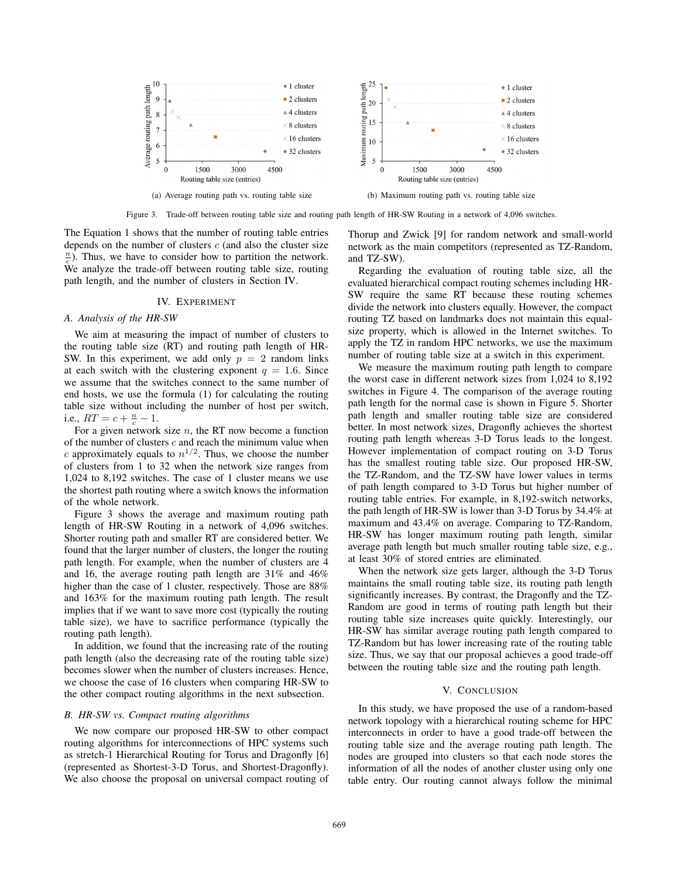

Figure 3. Trade-off between routing table size and routing path length of HR-SW Routing in a network of 4,096 switches.

The Equation 1 shows that the number of routing table entries depends on the number of clusters  $c$  (and also the cluster size  $\frac{n}{e}$ ). Thus, we have to consider how to partition the network. We analyze the trade-off between routing table size, routing path length, and the number of clusters in Section IV.

## IV. EXPERIMENT

#### *A. Analysis of the HR-SW*

We aim at measuring the impact of number of clusters to the routing table size (RT) and routing path length of HR-SW. In this experiment, we add only  $p = 2$  random links at each switch with the clustering exponent  $q = 1.6$ . Since we assume that the switches connect to the same number of end hosts, we use the formula (1) for calculating the routing table size without including the number of host per switch, i.e.,  $RT = c + \frac{n}{c} - 1$ .

For a given network size  $n$ , the RT now become a function of the number of clusters  $c$  and reach the minimum value when c approximately equals to  $n^{1/2}$ . Thus, we choose the number of clusters from 1 to 32 when the network size ranges from 1,024 to 8,192 switches. The case of 1 cluster means we use the shortest path routing where a switch knows the information of the whole network.

Figure 3 shows the average and maximum routing path length of HR-SW Routing in a network of 4,096 switches. Shorter routing path and smaller RT are considered better. We found that the larger number of clusters, the longer the routing path length. For example, when the number of clusters are 4 and 16, the average routing path length are 31% and 46% higher than the case of 1 cluster, respectively. Those are  $88\%$ and 163% for the maximum routing path length. The result implies that if we want to save more cost (typically the routing table size), we have to sacrifice performance (typically the routing path length).

In addition, we found that the increasing rate of the routing path length (also the decreasing rate of the routing table size) becomes slower when the number of clusters increases. Hence, we choose the case of 16 clusters when comparing HR-SW to the other compact routing algorithms in the next subsection.

## *B. HR-SW vs. Compact routing algorithms*

We now compare our proposed HR-SW to other compact routing algorithms for interconnections of HPC systems such as stretch-1 Hierarchical Routing for Torus and Dragonfly [6] (represented as Shortest-3-D Torus, and Shortest-Dragonfly). We also choose the proposal on universal compact routing of Thorup and Zwick [9] for random network and small-world network as the main competitors (represented as TZ-Random, and TZ-SW).

Regarding the evaluation of routing table size, all the evaluated hierarchical compact routing schemes including HR-SW require the same RT because these routing schemes divide the network into clusters equally. However, the compact routing TZ based on landmarks does not maintain this equalsize property, which is allowed in the Internet switches. To apply the TZ in random HPC networks, we use the maximum number of routing table size at a switch in this experiment.

We measure the maximum routing path length to compare the worst case in different network sizes from 1,024 to 8,192 switches in Figure 4. The comparison of the average routing path length for the normal case is shown in Figure 5. Shorter path length and smaller routing table size are considered better. In most network sizes, Dragonfly achieves the shortest routing path length whereas 3-D Torus leads to the longest. However implementation of compact routing on 3-D Torus has the smallest routing table size. Our proposed HR-SW, the TZ-Random, and the TZ-SW have lower values in terms of path length compared to 3-D Torus but higher number of routing table entries. For example, in 8,192-switch networks, the path length of HR-SW is lower than 3-D Torus by 34.4% at maximum and 43.4% on average. Comparing to TZ-Random, HR-SW has longer maximum routing path length, similar average path length but much smaller routing table size, e.g., at least 30% of stored entries are eliminated.

When the network size gets larger, although the 3-D Torus maintains the small routing table size, its routing path length significantly increases. By contrast, the Dragonfly and the TZ-Random are good in terms of routing path length but their routing table size increases quite quickly. Interestingly, our HR-SW has similar average routing path length compared to TZ-Random but has lower increasing rate of the routing table size. Thus, we say that our proposal achieves a good trade-off between the routing table size and the routing path length.

# V. CONCLUSION

In this study, we have proposed the use of a random-based network topology with a hierarchical routing scheme for HPC interconnects in order to have a good trade-off between the routing table size and the average routing path length. The nodes are grouped into clusters so that each node stores the information of all the nodes of another cluster using only one table entry. Our routing cannot always follow the minimal